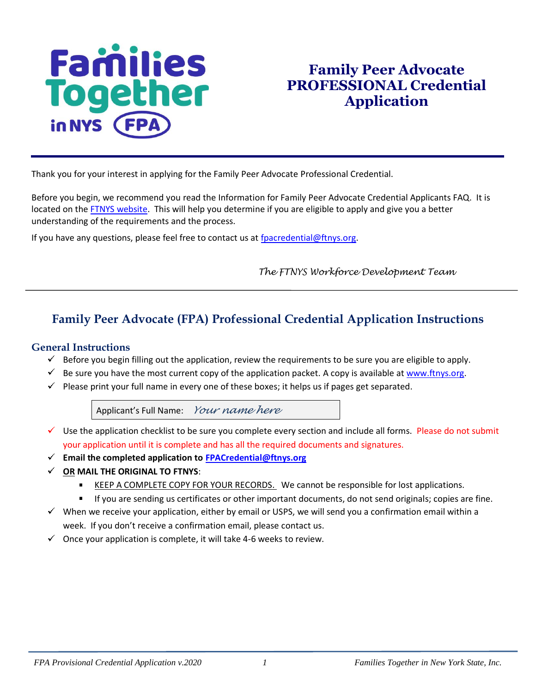# **Families**<br>Together in NYS

## **Family Peer Advocate PROFESSIONAL Credential Application**

Thank you for your interest in applying for the Family Peer Advocate Professional Credential.

Before you begin, we recommend you read the Information for Family Peer Advocate Credential Applicants FAQ. It is located on the [FTNYS website.](http://www.ftnys.org/) This will help you determine if you are eligible to apply and give you a better understanding of the requirements and the process.

If you have any questions, please feel free to contact us at [fpacredential@ftnys.org.](mailto:fpacredential@ftnys.org)

 *The FTNYS Workforce Development Team*

## **Family Peer Advocate (FPA) Professional Credential Application Instructions**

#### **General Instructions**

- $\checkmark$  Before you begin filling out the application, review the requirements to be sure you are eligible to apply.
- $\checkmark$  Be sure you have the most current copy of the application packet. A copy is available at [www.ftnys.org.](http://www.ftnys.org/)
- $\checkmark$  Please print your full name in every one of these boxes; it helps us if pages get separated.

Applicant's Full Name:*Your name here*

- Use the application checklist to be sure you complete every section and include all forms. Please do not submit your application until it is complete and has all the required documents and signatures.
- **Email the completed application to [FPACredential@ftnys.org](mailto:FPACredential@ftnys.org)**
- **OR MAIL THE ORIGINAL TO FTNYS**:
	- KEEP A COMPLETE COPY FOR YOUR RECORDS. We cannot be responsible for lost applications.
	- If you are sending us certificates or other important documents, do not send originals; copies are fine.
- $\checkmark$  When we receive your application, either by email or USPS, we will send you a confirmation email within a week. If you don't receive a confirmation email, please contact us.
- $\checkmark$  Once your application is complete, it will take 4-6 weeks to review.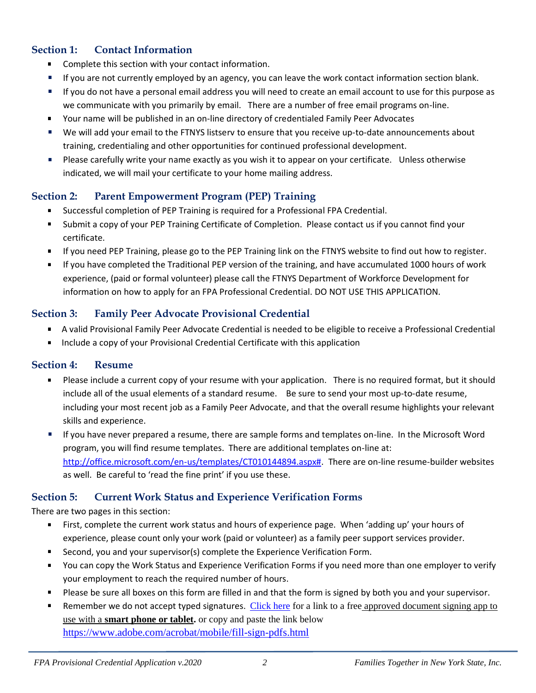## **Section 1: Contact Information**

- $\blacksquare$ Complete this section with your contact information.
- $\mathbf{u}$ If you are not currently employed by an agency, you can leave the work contact information section blank.
- If you do not have a personal email address you will need to create an email account to use for this purpose as we communicate with you primarily by email. There are a number of free email programs on-line.
- Your name will be published in an on-line directory of credentialed Family Peer Advocates  $\blacksquare$
- We will add your email to the FTNYS listserv to ensure that you receive up-to-date announcements about training, credentialing and other opportunities for continued professional development.
- $\blacksquare$ Please carefully write your name exactly as you wish it to appear on your certificate. Unless otherwise indicated, we will mail your certificate to your home mailing address.

## **Section 2: Parent Empowerment Program (PEP) Training**

- Successful completion of PEP Training is required for a Professional FPA Credential.
- Submit a copy of your PEP Training Certificate of Completion. Please contact us if you cannot find your certificate.
- If you need PEP Training, please go to the PEP Training link on the FTNYS website to find out how to register.
- If you have completed the Traditional PEP version of the training, and have accumulated 1000 hours of work experience, (paid or formal volunteer) please call the FTNYS Department of Workforce Development for information on how to apply for an FPA Professional Credential. DO NOT USE THIS APPLICATION.

## **Section 3: Family Peer Advocate Provisional Credential**

- A valid Provisional Family Peer Advocate Credential is needed to be eligible to receive a Professional Credential
- Include a copy of your Provisional Credential Certificate with this application  $\blacksquare$

#### **Section 4: Resume**

- Please include a current copy of your resume with your application. There is no required format, but it should include all of the usual elements of a standard resume. Be sure to send your most up-to-date resume, including your most recent job as a Family Peer Advocate, and that the overall resume highlights your relevant skills and experience.
- If you have never prepared a resume, there are sample forms and templates on-line. In the Microsoft Word program, you will find resume templates. There are additional templates on-line at: [http://office.microsoft.com/en-us/templates/CT010144894.aspx#.](http://office.microsoft.com/en-us/templates/CT010144894.aspx) There are on-line resume-builder websites as well. Be careful to 'read the fine print' if you use these.

## **Section 5: Current Work Status and Experience Verification Forms**

There are two pages in this section:

- $\blacksquare$ First, complete the current work status and hours of experience page. When 'adding up' your hours of experience, please count only your work (paid or volunteer) as a family peer support services provider.
- $\blacksquare$ Second, you and your supervisor(s) complete the Experience Verification Form.
- You can copy the Work Status and Experience Verification Forms if you need more than one employer to verify  $\blacksquare$ your employment to reach the required number of hours.
- Please be sure all boxes on this form are filled in and that the form is signed by both you and your supervisor.
- Remember we do not accept typed signatures. [Click here](https://acrobat.adobe.com/us/en/mobile/fill-sign-pdfs.html) for a link to a free approved document signing app to use with a **smart phone or tablet.** or copy and paste the link below <https://www.adobe.com/acrobat/mobile/fill-sign-pdfs.html>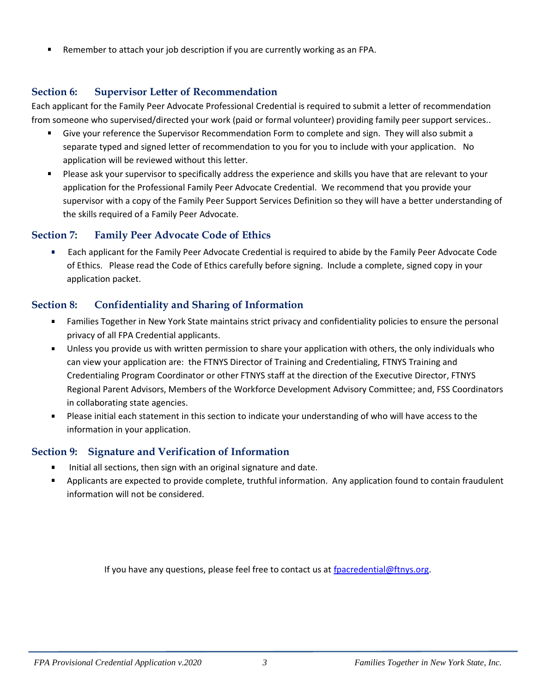Remember to attach your job description if you are currently working as an FPA.

### **Section 6: Supervisor Letter of Recommendation**

Each applicant for the Family Peer Advocate Professional Credential is required to submit a letter of recommendation from someone who supervised/directed your work (paid or formal volunteer) providing family peer support services..

- Give your reference the Supervisor Recommendation Form to complete and sign. They will also submit a separate typed and signed letter of recommendation to you for you to include with your application. No application will be reviewed without this letter.
- $\mathbf{r}$ Please ask your supervisor to specifically address the experience and skills you have that are relevant to your application for the Professional Family Peer Advocate Credential. We recommend that you provide your supervisor with a copy of the Family Peer Support Services Definition so they will have a better understanding of the skills required of a Family Peer Advocate.

#### **Section 7: Family Peer Advocate Code of Ethics**

 Each applicant for the Family Peer Advocate Credential is required to abide by the Family Peer Advocate Code m. of Ethics. Please read the Code of Ethics carefully before signing. Include a complete, signed copy in your application packet.

## **Section 8: Confidentiality and Sharing of Information**

- $\mathbf{r}$ Families Together in New York State maintains strict privacy and confidentiality policies to ensure the personal privacy of all FPA Credential applicants.
- Unless you provide us with written permission to share your application with others, the only individuals who can view your application are: the FTNYS Director of Training and Credentialing, FTNYS Training and Credentialing Program Coordinator or other FTNYS staff at the direction of the Executive Director, FTNYS Regional Parent Advisors, Members of the Workforce Development Advisory Committee; and, FSS Coordinators in collaborating state agencies.
- **Please initial each statement in this section to indicate your understanding of who will have access to the** information in your application.

## **Section 9: Signature and Verification of Information**

- Initial all sections, then sign with an original signature and date. ×,
- Applicants are expected to provide complete, truthful information. Any application found to contain fraudulent information will not be considered.

If you have any questions, please feel free to contact us at [fpacredential@ftnys.org.](mailto:fpacredential@ftnys.org)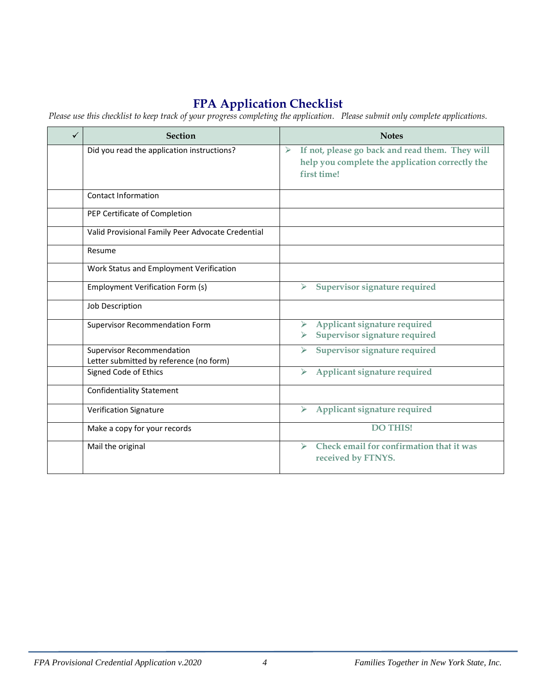## **FPA Application Checklist**

*Please use this checklist to keep track of your progress completing the application. Please submit only complete applications.*

| ✓ | <b>Section</b>                                                              | <b>Notes</b>                                                                                                           |
|---|-----------------------------------------------------------------------------|------------------------------------------------------------------------------------------------------------------------|
|   | Did you read the application instructions?                                  | If not, please go back and read them. They will<br>➤<br>help you complete the application correctly the<br>first time! |
|   | <b>Contact Information</b>                                                  |                                                                                                                        |
|   | PEP Certificate of Completion                                               |                                                                                                                        |
|   | Valid Provisional Family Peer Advocate Credential                           |                                                                                                                        |
|   | Resume                                                                      |                                                                                                                        |
|   | Work Status and Employment Verification                                     |                                                                                                                        |
|   | <b>Employment Verification Form (s)</b>                                     | Supervisor signature required<br>≻                                                                                     |
|   | Job Description                                                             |                                                                                                                        |
|   | Supervisor Recommendation Form                                              | Applicant signature required<br>Supervisor signature required                                                          |
|   | <b>Supervisor Recommendation</b><br>Letter submitted by reference (no form) | Supervisor signature required<br>⋗                                                                                     |
|   | Signed Code of Ethics                                                       | Applicant signature required<br>➤                                                                                      |
|   | <b>Confidentiality Statement</b>                                            |                                                                                                                        |
|   | <b>Verification Signature</b>                                               | Applicant signature required                                                                                           |
|   | Make a copy for your records                                                | <b>DO THIS!</b>                                                                                                        |
|   | Mail the original                                                           | Check email for confirmation that it was<br>↘<br>received by FTNYS.                                                    |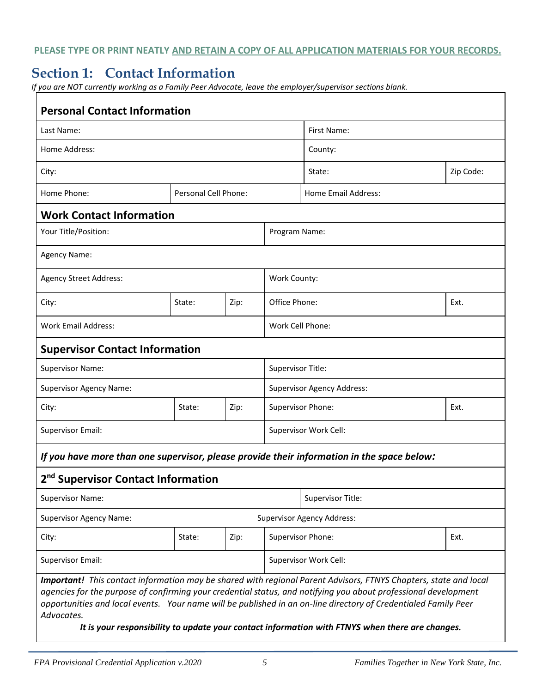**PLEASE TYPE OR PRINT NEATLY AND RETAIN A COPY OF ALL APPLICATION MATERIALS FOR YOUR RECORDS.**

## **Section 1: Contact Information**

*If you are NOT currently working as a Family Peer Advocate, leave the employer/supervisor sections blank.* 

| <b>Personal Contact Information</b>                                                                                                                                                                                                                                                                                                                                                                                                                                     |        |      |                     |                                   |      |  |
|-------------------------------------------------------------------------------------------------------------------------------------------------------------------------------------------------------------------------------------------------------------------------------------------------------------------------------------------------------------------------------------------------------------------------------------------------------------------------|--------|------|---------------------|-----------------------------------|------|--|
| Last Name:                                                                                                                                                                                                                                                                                                                                                                                                                                                              |        |      |                     | First Name:                       |      |  |
| Home Address:                                                                                                                                                                                                                                                                                                                                                                                                                                                           |        |      |                     | County:                           |      |  |
| City:                                                                                                                                                                                                                                                                                                                                                                                                                                                                   |        |      | State:              | Zip Code:                         |      |  |
| Home Phone:<br>Personal Cell Phone:                                                                                                                                                                                                                                                                                                                                                                                                                                     |        |      | Home Email Address: |                                   |      |  |
| <b>Work Contact Information</b>                                                                                                                                                                                                                                                                                                                                                                                                                                         |        |      |                     |                                   |      |  |
| Your Title/Position:                                                                                                                                                                                                                                                                                                                                                                                                                                                    |        |      |                     | Program Name:                     |      |  |
| Agency Name:                                                                                                                                                                                                                                                                                                                                                                                                                                                            |        |      |                     |                                   |      |  |
| <b>Agency Street Address:</b>                                                                                                                                                                                                                                                                                                                                                                                                                                           |        |      | Work County:        |                                   |      |  |
| City:                                                                                                                                                                                                                                                                                                                                                                                                                                                                   | State: | Zip: |                     | Office Phone:<br>Ext.             |      |  |
| <b>Work Email Address:</b>                                                                                                                                                                                                                                                                                                                                                                                                                                              |        |      |                     | Work Cell Phone:                  |      |  |
| <b>Supervisor Contact Information</b>                                                                                                                                                                                                                                                                                                                                                                                                                                   |        |      |                     |                                   |      |  |
| Supervisor Name:                                                                                                                                                                                                                                                                                                                                                                                                                                                        |        |      |                     | Supervisor Title:                 |      |  |
| <b>Supervisor Agency Name:</b>                                                                                                                                                                                                                                                                                                                                                                                                                                          |        |      |                     | <b>Supervisor Agency Address:</b> |      |  |
| City:                                                                                                                                                                                                                                                                                                                                                                                                                                                                   | State: | Zip: |                     | Supervisor Phone:                 | Ext. |  |
| <b>Supervisor Email:</b>                                                                                                                                                                                                                                                                                                                                                                                                                                                |        |      |                     | Supervisor Work Cell:             |      |  |
| If you have more than one supervisor, please provide their information in the space below:                                                                                                                                                                                                                                                                                                                                                                              |        |      |                     |                                   |      |  |
| 2 <sup>nd</sup> Supervisor Contact Information                                                                                                                                                                                                                                                                                                                                                                                                                          |        |      |                     |                                   |      |  |
| <b>Supervisor Name:</b>                                                                                                                                                                                                                                                                                                                                                                                                                                                 |        |      |                     | Supervisor Title:                 |      |  |
| <b>Supervisor Agency Name:</b>                                                                                                                                                                                                                                                                                                                                                                                                                                          |        |      |                     | <b>Supervisor Agency Address:</b> |      |  |
| City:                                                                                                                                                                                                                                                                                                                                                                                                                                                                   | State: | Zip: |                     | Supervisor Phone:                 | Ext. |  |
| <b>Supervisor Email:</b>                                                                                                                                                                                                                                                                                                                                                                                                                                                |        |      |                     | Supervisor Work Cell:             |      |  |
| Important! This contact information may be shared with regional Parent Advisors, FTNYS Chapters, state and local<br>agencies for the purpose of confirming your credential status, and notifying you about professional development<br>opportunities and local events. Your name will be published in an on-line directory of Credentialed Family Peer<br>Advocates.<br>It is your responsibility to update your contact information with FTNYS when there are changes. |        |      |                     |                                   |      |  |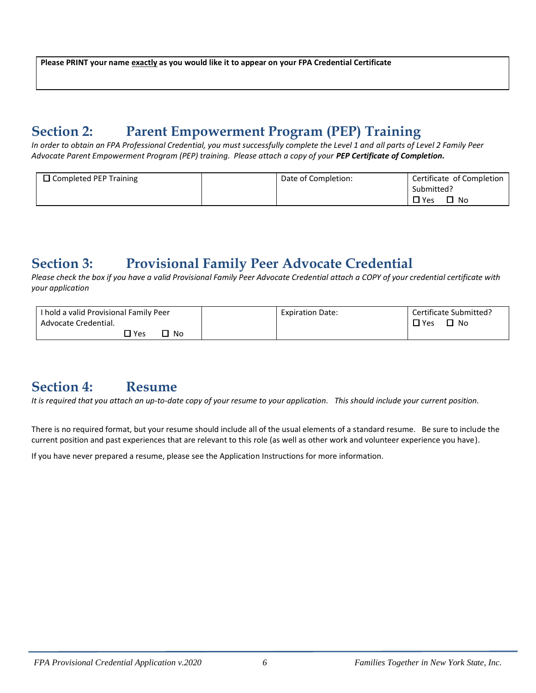**Please PRINT your name exactly as you would like it to appear on your FPA Credential Certificate**

## **Section 2: Parent Empowerment Program (PEP) Training**

*In order to obtain an FPA Professional Credential, you must successfully complete the Level 1 and all parts of Level 2 Family Peer Advocate Parent Empowerment Program (PEP) training. Please attach a copy of your PEP Certificate of Completion.*

| $\Box$ Completed PEP Training | Date of Completion: | Certificate of Completion |
|-------------------------------|---------------------|---------------------------|
|                               |                     | Submitted?                |
|                               |                     | $\Box$ Yes<br>∃ No        |

## **Section 3: Provisional Family Peer Advocate Credential**

*Please check the box if you have a valid Provisional Family Peer Advocate Credential attach a COPY of your credential certificate with your application*

| I hold a valid Provisional Family Peer | <b>Expiration Date:</b> | Certificate Submitted? |
|----------------------------------------|-------------------------|------------------------|
| Advocate Credential.                   |                         | $\square$ Yes<br>LI No |
| $\square$ Yes<br>No                    |                         |                        |

## **Section 4: Resume**

*It is required that you attach an up-to-date copy of your resume to your application. This should include your current position.*

There is no required format, but your resume should include all of the usual elements of a standard resume. Be sure to include the current position and past experiences that are relevant to this role (as well as other work and volunteer experience you have).

If you have never prepared a resume, please see the Application Instructions for more information.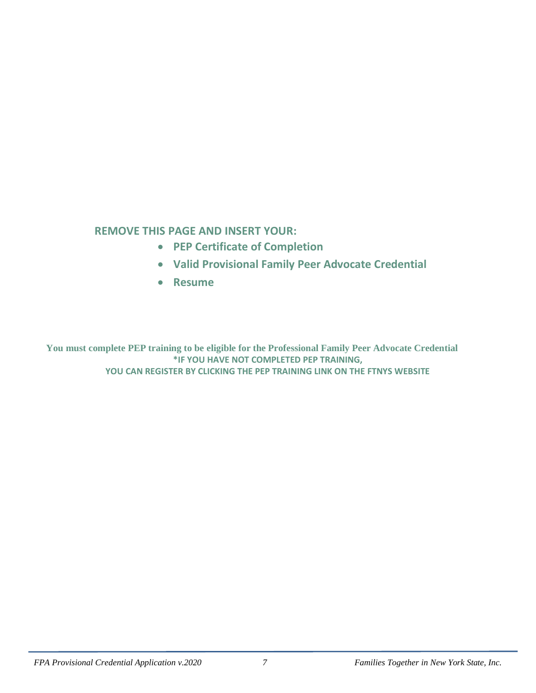## **REMOVE THIS PAGE AND INSERT YOUR:**

- **PEP Certificate of Completion**
- **Valid Provisional Family Peer Advocate Credential**
- **Resume**

**You must complete PEP training to be eligible for the Professional Family Peer Advocate Credential \*IF YOU HAVE NOT COMPLETED PEP TRAINING, YOU CAN REGISTER BY CLICKING THE PEP TRAINING LINK ON THE FTNYS WEBSITE**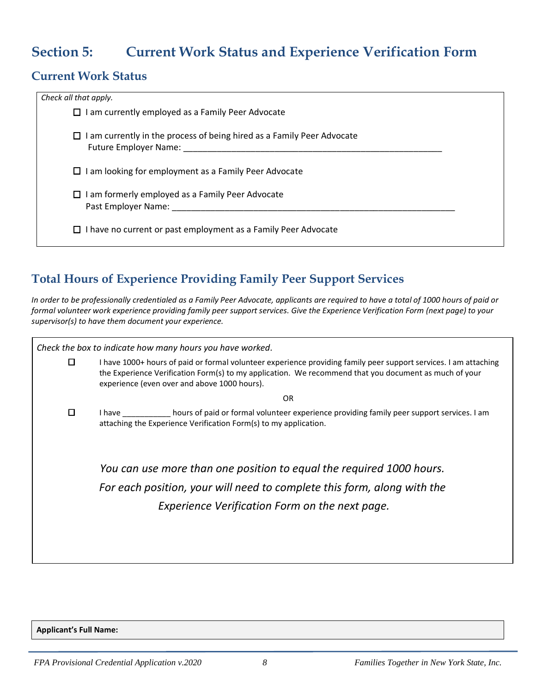## **Section 5: Current Work Status and Experience Verification Form**

## **Current Work Status**

| Check all that apply.                                                                                         |  |
|---------------------------------------------------------------------------------------------------------------|--|
| $\Box$ I am currently employed as a Family Peer Advocate                                                      |  |
| $\Box$ I am currently in the process of being hired as a Family Peer Advocate<br><b>Future Employer Name:</b> |  |
| $\Box$ I am looking for employment as a Family Peer Advocate                                                  |  |
| $\Box$ I am formerly employed as a Family Peer Advocate<br>Past Employer Name:                                |  |
| $\Box$ I have no current or past employment as a Family Peer Advocate                                         |  |

## **Total Hours of Experience Providing Family Peer Support Services**

*In order to be professionally credentialed as a Family Peer Advocate, applicants are required to have a total of 1000 hours of paid or formal volunteer work experience providing family peer support services. Give the Experience Verification Form (next page) to your supervisor(s) to have them document your experience.* 

|   | Check the box to indicate how many hours you have worked.                                                                                                                                                                                                                 |  |  |  |
|---|---------------------------------------------------------------------------------------------------------------------------------------------------------------------------------------------------------------------------------------------------------------------------|--|--|--|
| 0 | I have 1000+ hours of paid or formal volunteer experience providing family peer support services. I am attaching<br>the Experience Verification Form(s) to my application. We recommend that you document as much of your<br>experience (even over and above 1000 hours). |  |  |  |
|   | 0R                                                                                                                                                                                                                                                                        |  |  |  |
| 0 | hours of paid or formal volunteer experience providing family peer support services. I am<br>I have a controller to the controller<br>attaching the Experience Verification Form(s) to my application.                                                                    |  |  |  |
|   | You can use more than one position to equal the required 1000 hours.<br>For each position, your will need to complete this form, along with the<br>Experience Verification Form on the next page.                                                                         |  |  |  |

**Applicant's Full Name:**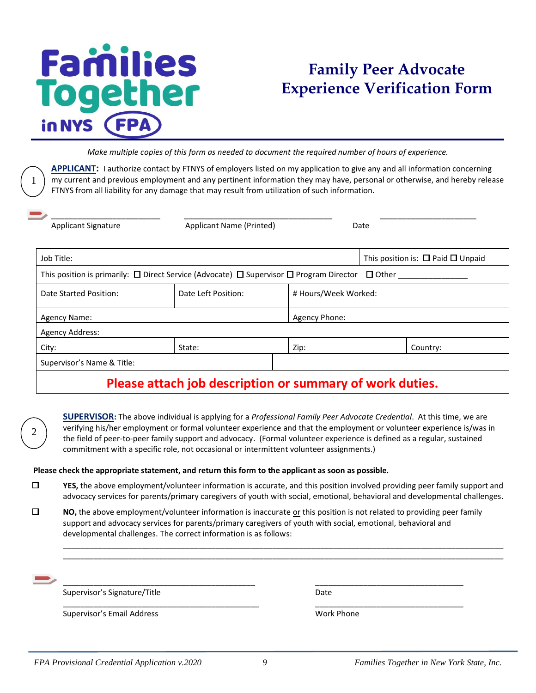## **Families logether** in NYS

1

2

## **Family Peer Advocate Experience Verification Form**

*Make multiple copies of this form as needed to document the required number of hours of experience.*

**APPLICANT:** I authorize contact by FTNYS of employers listed on my application to give any and all information concerning my current and previous employment and any pertinent information they may have, personal or otherwise, and hereby release FTNYS from all liability for any damage that may result from utilization of such information.

| <b>Applicant Signature</b>                    | <b>Applicant Name (Printed)</b>                                                                                     |                      | Date                                        |  |
|-----------------------------------------------|---------------------------------------------------------------------------------------------------------------------|----------------------|---------------------------------------------|--|
| Job Title:                                    |                                                                                                                     |                      | This position is: $\Box$ Paid $\Box$ Unpaid |  |
|                                               | This position is primarily: $\Box$ Direct Service (Advocate) $\Box$ Supervisor $\Box$ Program Director $\Box$ Other |                      |                                             |  |
| Date Left Position:<br>Date Started Position: |                                                                                                                     | # Hours/Week Worked: |                                             |  |
| <b>Agency Name:</b>                           |                                                                                                                     | Agency Phone:        |                                             |  |
| <b>Agency Address:</b>                        |                                                                                                                     |                      |                                             |  |
| City:                                         | State:                                                                                                              | Zip:                 | Country:                                    |  |
| Supervisor's Name & Title:                    |                                                                                                                     |                      |                                             |  |

## **Please attach job description or summary of work duties.**

**SUPERVISOR:** The above individual is applying for a *Professional Family Peer Advocate Credential*. At this time, we are verifying his/her employment or formal volunteer experience and that the employment or volunteer experience is/was in the field of peer-to-peer family support and advocacy. (Formal volunteer experience is defined as a regular, sustained commitment with a specific role, not occasional or intermittent volunteer assignments.)

#### **Please check the appropriate statement, and return this form to the applicant as soon as possible.**

 $\Box$ **YES,** the above employment/volunteer information is accurate, and this position involved providing peer family support and advocacy services for parents/primary caregivers of youth with social, emotional, behavioral and developmental challenges.

\_\_\_\_\_\_\_\_\_\_\_\_\_\_\_\_\_\_\_\_\_\_\_\_\_\_\_\_\_\_\_\_\_\_\_\_\_\_\_\_\_\_\_\_\_\_\_\_\_\_\_\_\_\_\_\_\_\_\_\_\_\_\_\_\_\_\_\_\_\_\_\_\_\_\_\_\_\_\_\_\_\_\_\_\_\_\_\_\_\_\_\_\_\_\_\_\_\_\_\_\_ \_\_\_\_\_\_\_\_\_\_\_\_\_\_\_\_\_\_\_\_\_\_\_\_\_\_\_\_\_\_\_\_\_\_\_\_\_\_\_\_\_\_\_\_\_\_\_\_\_\_\_\_\_\_\_\_\_\_\_\_\_\_\_\_\_\_\_\_\_\_\_\_\_\_\_\_\_\_\_\_\_\_\_\_\_\_\_\_\_\_\_\_\_\_\_\_\_\_\_\_\_

 $\Box$ **NO,** the above employment/volunteer information is inaccurate or this position is not related to providing peer family support and advocacy services for parents/primary caregivers of youth with social, emotional, behavioral and developmental challenges. The correct information is as follows:

| Supervisor's Signature/Title | Date       |
|------------------------------|------------|
| Supervisor's Email Address   | Work Phone |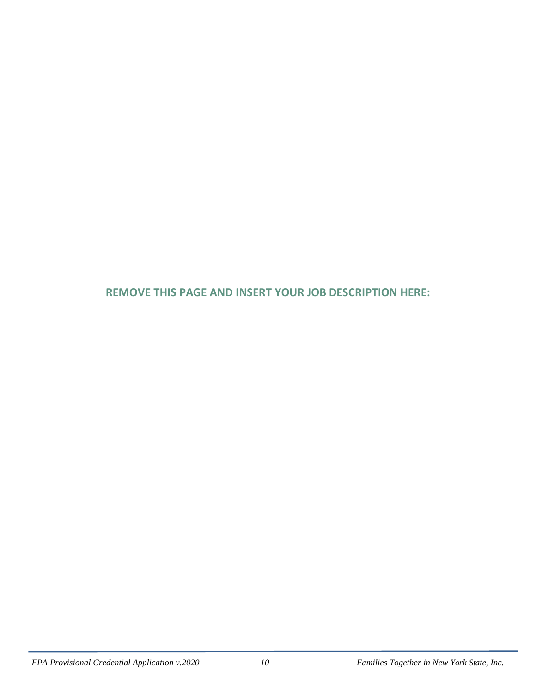**REMOVE THIS PAGE AND INSERT YOUR JOB DESCRIPTION HERE:**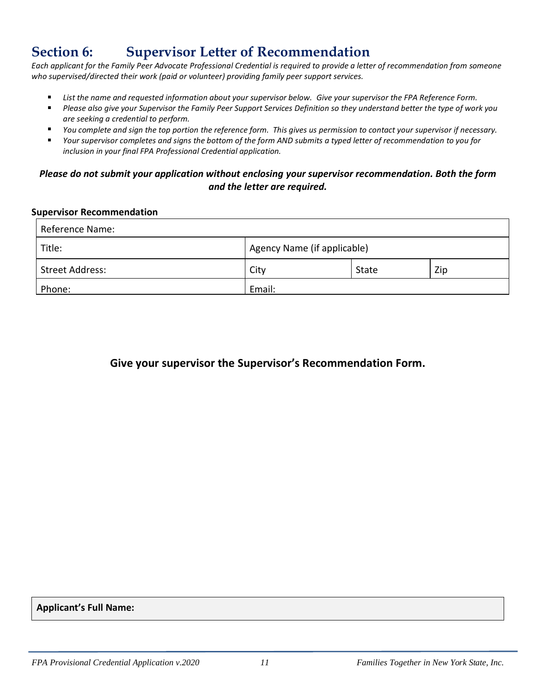## **Section 6: Supervisor Letter of Recommendation**

*Each applicant for the Family Peer Advocate Professional Credential is required to provide a letter of recommendation from someone who supervised/directed their work (paid or volunteer) providing family peer support services.* 

- *List the name and requested information about your supervisor below. Give your supervisor the FPA Reference Form.*
- *Please also give your Supervisor the Family Peer Support Services Definition so they understand better the type of work you*   $\blacksquare$ *are seeking a credential to perform.*
- *You complete and sign the top portion the reference form. This gives us permission to contact your supervisor if necessary.*
- *Your supervisor completes and signs the bottom of the form AND submits a typed letter of recommendation to you for inclusion in your final FPA Professional Credential application.*

#### *Please do not submit your application without enclosing your supervisor recommendation. Both the form and the letter are required.*

#### **Supervisor Recommendation**

| Reference Name:        |                             |       |     |  |  |
|------------------------|-----------------------------|-------|-----|--|--|
| Title:                 | Agency Name (if applicable) |       |     |  |  |
| <b>Street Address:</b> | City                        | State | Zip |  |  |
| Phone:                 | Email:                      |       |     |  |  |

## **Give your supervisor the Supervisor's Recommendation Form.**

**Applicant's Full Name:**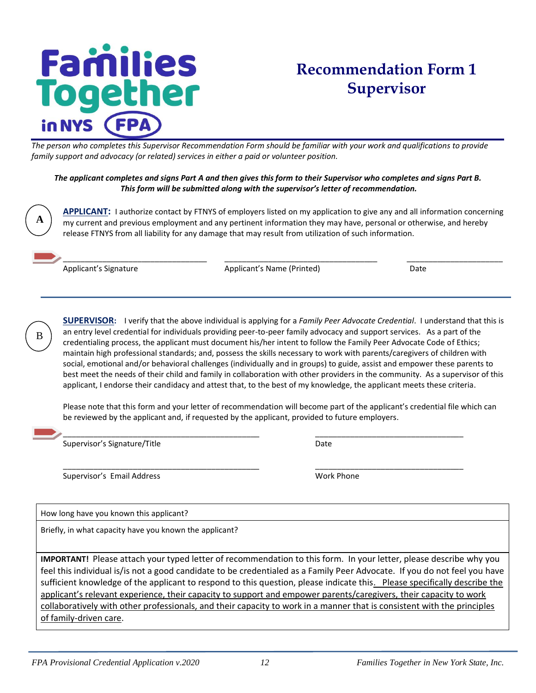## **Families** ogether in NYS

## **Recommendation Form 1 Supervisor**

*The person who completes this Supervisor Recommendation Form should be familiar with your work and qualifications to provide family support and advocacy (or related) services in either a paid or volunteer position.* 

#### *The applicant completes and signs Part A and then gives this form to their Supervisor who completes and signs Part B. This form will be submitted along with the supervisor's letter of recommendation.*

**APPLICANT:** I authorize contact by FTNYS of employers listed on my application to give any and all information concerning my current and previous employment and any pertinent information they may have, personal or otherwise, and hereby release FTNYS from all liability for any damage that may result from utilization of such information.

\_\_\_\_\_\_\_\_\_\_\_\_\_\_\_\_\_\_\_\_\_\_\_\_\_\_\_\_\_\_\_\_\_ \_\_\_\_\_\_\_\_\_\_\_\_\_\_\_\_\_\_\_\_\_\_\_\_\_\_\_\_\_\_\_\_\_\_\_ \_\_\_\_\_\_\_\_\_\_\_\_\_\_\_\_\_\_\_\_\_\_

Applicant's Signature The Applicant's Name (Printed) and Date Date

B

**A**

**SUPERVISOR:** I verify that the above individual is applying for a *Family Peer Advocate Credential*. I understand that this is an entry level credential for individuals providing peer-to-peer family advocacy and support services. As a part of the credentialing process, the applicant must document his/her intent to follow the Family Peer Advocate Code of Ethics; maintain high professional standards; and, possess the skills necessary to work with parents/caregivers of children with social, emotional and/or behavioral challenges (individually and in groups) to guide, assist and empower these parents to best meet the needs of their child and family in collaboration with other providers in the community. As a supervisor of this applicant, I endorse their candidacy and attest that, to the best of my knowledge, the applicant meets these criteria.

Please note that this form and your letter of recommendation will become part of the applicant's credential file which can be reviewed by the applicant and, if requested by the applicant, provided to future employers.

\_\_\_\_\_\_\_\_\_\_\_\_\_\_\_\_\_\_\_\_\_\_\_\_\_\_\_\_\_\_\_\_\_\_\_\_\_\_\_\_\_\_\_\_\_ \_\_\_\_\_\_\_\_\_\_\_\_\_\_\_\_\_\_\_\_\_\_\_\_\_\_\_\_\_\_\_\_\_\_

\_\_\_\_\_\_\_\_\_\_\_\_\_\_\_\_\_\_\_\_\_\_\_\_\_\_\_\_\_\_\_\_\_\_\_\_\_\_\_\_\_\_\_\_\_ \_\_\_\_\_\_\_\_\_\_\_\_\_\_\_\_\_\_\_\_\_\_\_\_\_\_\_\_\_\_\_\_\_\_ Supervisor's Signature/Title **Date** Date

Supervisor's Email Address Work Phone

How long have you known this applicant?

Briefly, in what capacity have you known the applicant?

**IMPORTANT!** Please attach your typed letter of recommendation to this form. In your letter, please describe why you feel this individual is/is not a good candidate to be credentialed as a Family Peer Advocate. If you do not feel you have sufficient knowledge of the applicant to respond to this question, please indicate this. Please specifically describe the applicant's relevant experience, their capacity to support and empower parents/caregivers, their capacity to work collaboratively with other professionals, and their capacity to work in a manner that is consistent with the principles of family-driven care.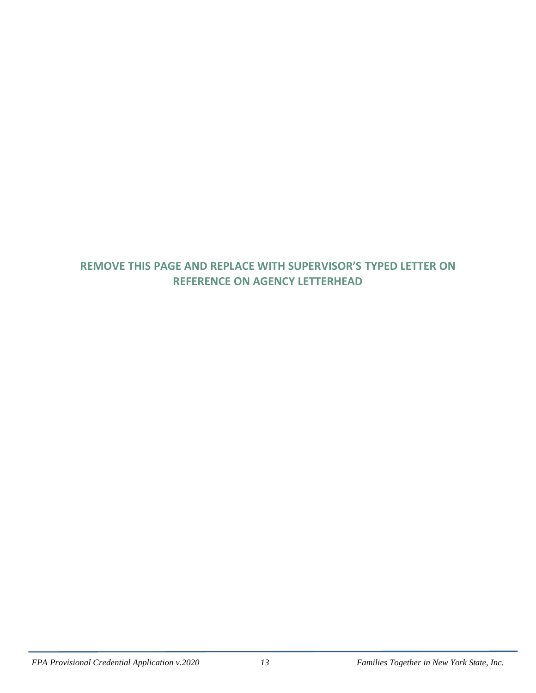## **REMOVE THIS PAGE AND REPLACE WITH SUPERVISOR'S TYPED LETTER ON REFERENCE ON AGENCY LETTERHEAD**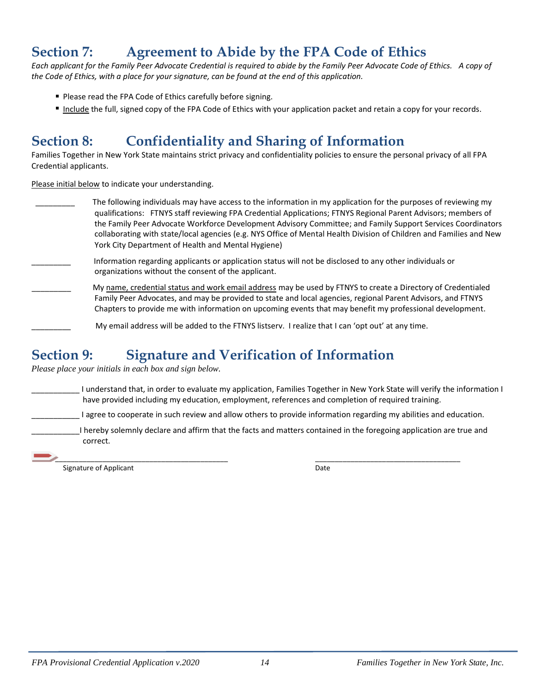## **Section 7: Agreement to Abide by the FPA Code of Ethics**

*Each applicant for the Family Peer Advocate Credential is required to abide by the Family Peer Advocate Code of Ethics. A copy of the Code of Ethics, with a place for your signature, can be found at the end of this application.* 

- **Please read the FPA Code of Ethics carefully before signing.**
- Include the full, signed copy of the FPA Code of Ethics with your application packet and retain a copy for your records.

## **Section 8: Confidentiality and Sharing of Information**

Families Together in New York State maintains strict privacy and confidentiality policies to ensure the personal privacy of all FPA Credential applicants.

Please initial below to indicate your understanding.

- \_\_\_\_\_\_\_\_\_The following individuals may have access to the information in my application for the purposes of reviewing my qualifications: FTNYS staff reviewing FPA Credential Applications; FTNYS Regional Parent Advisors; members of the Family Peer Advocate Workforce Development Advisory Committee; and Family Support Services Coordinators collaborating with state/local agencies (e.g. NYS Office of Mental Health Division of Children and Families and New York City Department of Health and Mental Hygiene)
- Information regarding applicants or application status will not be disclosed to any other individuals or organizations without the consent of the applicant.
- My name, credential status and work email address may be used by FTNYS to create a Directory of Credentialed Family Peer Advocates, and may be provided to state and local agencies, regional Parent Advisors, and FTNYS Chapters to provide me with information on upcoming events that may benefit my professional development.
	- My email address will be added to the FTNYS listserv. I realize that I can 'opt out' at any time.

## **Section 9: Signature and Verification of Information**

*Please place your initials in each box and sign below.* 

- \_\_\_\_\_\_\_\_\_\_\_ I understand that, in order to evaluate my application, Families Together in New York State will verify the information I have provided including my education, employment, references and completion of required training.
	- I agree to cooperate in such review and allow others to provide information regarding my abilities and education.
	- \_\_\_\_\_\_\_\_\_\_\_I hereby solemnly declare and affirm that the facts and matters contained in the foregoing application are true and correct.
- \_\_\_\_\_\_\_\_\_\_\_\_\_\_\_\_\_\_\_\_\_\_\_\_\_\_\_\_\_\_\_\_\_\_\_\_\_\_\_\_\_\_\_\_ \_\_\_\_\_\_\_\_\_\_\_\_\_\_\_\_\_\_\_\_\_\_\_\_\_\_\_\_\_\_\_\_\_\_\_\_\_

Signature of Applicant Date Controller and Date Date Date Date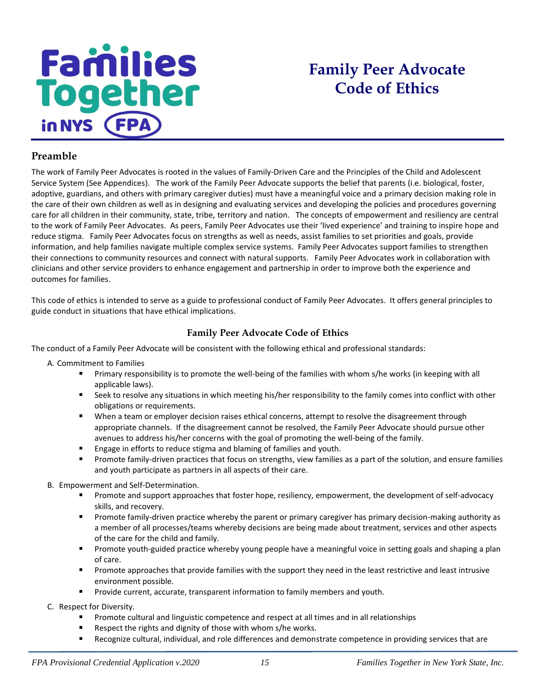# **Families**<br>Together in NYS

## **Family Peer Advocate Code of Ethics**

#### **Preamble**

The work of Family Peer Advocates is rooted in the values of Family-Driven Care and the Principles of the Child and Adolescent Service System (See Appendices). The work of the Family Peer Advocate supports the belief that parents (i.e. biological, foster, adoptive, guardians, and others with primary caregiver duties) must have a meaningful voice and a primary decision making role in the care of their own children as well as in designing and evaluating services and developing the policies and procedures governing care for all children in their community, state, tribe, territory and nation. The concepts of empowerment and resiliency are central to the work of Family Peer Advocates. As peers, Family Peer Advocates use their 'lived experience' and training to inspire hope and reduce stigma. Family Peer Advocates focus on strengths as well as needs, assist families to set priorities and goals, provide information, and help families navigate multiple complex service systems. Family Peer Advocates support families to strengthen their connections to community resources and connect with natural supports. Family Peer Advocates work in collaboration with clinicians and other service providers to enhance engagement and partnership in order to improve both the experience and outcomes for families.

This code of ethics is intended to serve as a guide to professional conduct of Family Peer Advocates. It offers general principles to guide conduct in situations that have ethical implications.

#### **Family Peer Advocate Code of Ethics**

The conduct of a Family Peer Advocate will be consistent with the following ethical and professional standards:

A. Commitment to Families

- Primary responsibility is to promote the well-being of the families with whom s/he works (in keeping with all applicable laws).
- Seek to resolve any situations in which meeting his/her responsibility to the family comes into conflict with other obligations or requirements.
- " When a team or employer decision raises ethical concerns, attempt to resolve the disagreement through appropriate channels. If the disagreement cannot be resolved, the Family Peer Advocate should pursue other avenues to address his/her concerns with the goal of promoting the well-being of the family.
- Engage in efforts to reduce stigma and blaming of families and youth.
- Promote family-driven practices that focus on strengths, view families as a part of the solution, and ensure families and youth participate as partners in all aspects of their care.
- B. Empowerment and Self-Determination.
	- **Promote and support approaches that foster hope, resiliency, empowerment, the development of self-advocacy** skills, and recovery.
	- Promote family-driven practice whereby the parent or primary caregiver has primary decision-making authority as a member of all processes/teams whereby decisions are being made about treatment, services and other aspects of the care for the child and family.
	- Promote youth-guided practice whereby young people have a meaningful voice in setting goals and shaping a plan of care.
	- Promote approaches that provide families with the support they need in the least restrictive and least intrusive environment possible.
	- Provide current, accurate, transparent information to family members and youth.

C. Respect for Diversity.

- Promote cultural and linguistic competence and respect at all times and in all relationships
- Respect the rights and dignity of those with whom s/he works.
- $\blacksquare$ Recognize cultural, individual, and role differences and demonstrate competence in providing services that are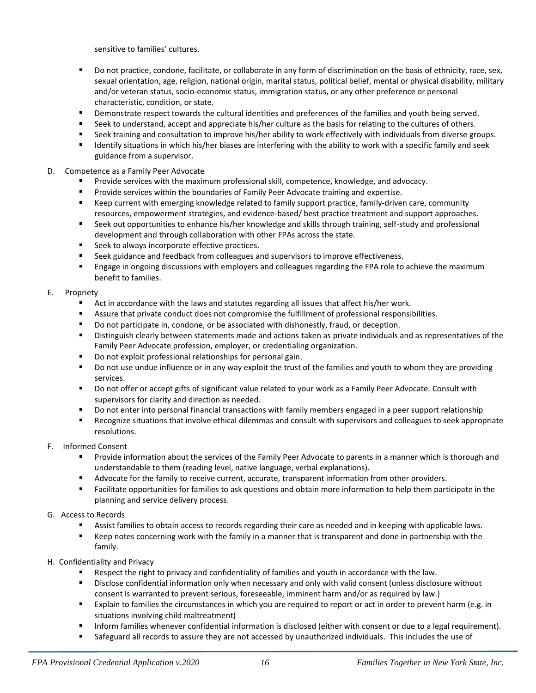sensitive to families' cultures.

- $\blacksquare$ Do not practice, condone, facilitate, or collaborate in any form of discrimination on the basis of ethnicity, race, sex, sexual orientation, age, religion, national origin, marital status, political belief, mental or physical disability, military and/or veteran status, socio-economic status, immigration status, or any other preference or personal characteristic, condition, or state.
- **Pemonstrate respect towards the cultural identities and preferences of the families and youth being served.**
- Seek to understand, accept and appreciate his/her culture as the basis for relating to the cultures of others.
- Seek training and consultation to improve his/her ability to work effectively with individuals from diverse groups.
- Identify situations in which his/her biases are interfering with the ability to work with a specific family and seek  $\blacksquare$ guidance from a supervisor.
- D. Competence as a Family Peer Advocate
	- Provide services with the maximum professional skill, competence, knowledge, and advocacy.
	- Provide services within the boundaries of Family Peer Advocate training and expertise.
	- $\mathbf{r}$ Keep current with emerging knowledge related to family support practice, family-driven care, community resources, empowerment strategies, and evidence-based/ best practice treatment and support approaches.
	- Seek out opportunities to enhance his/her knowledge and skills through training, self-study and professional development and through collaboration with other FPAs across the state.
	- **EXECTE:** Seek to always incorporate effective practices.
	- $\mathbf{r}$ Seek guidance and feedback from colleagues and supervisors to improve effectiveness.
	- $\blacksquare$ Engage in ongoing discussions with employers and colleagues regarding the FPA role to achieve the maximum benefit to families.

#### E. Propriety

- Act in accordance with the laws and statutes regarding all issues that affect his/her work.
- Assure that private conduct does not compromise the fulfillment of professional responsibilities.
- **Do not participate in, condone, or be associated with dishonestly, fraud, or deception.**
- Distinguish clearly between statements made and actions taken as private individuals and as representatives of the Family Peer Advocate profession, employer, or credentialing organization.
- Do not exploit professional relationships for personal gain.
- Do not use undue influence or in any way exploit the trust of the families and youth to whom they are providing services.
- Do not offer or accept gifts of significant value related to your work as a Family Peer Advocate. Consult with supervisors for clarity and direction as needed.
- Do not enter into personal financial transactions with family members engaged in a peer support relationship
- Recognize situations that involve ethical dilemmas and consult with supervisors and colleagues to seek appropriate resolutions.

#### F. Informed Consent

- Provide information about the services of the Family Peer Advocate to parents in a manner which is thorough and understandable to them (reading level, native language, verbal explanations).
- $\blacksquare$ Advocate for the family to receive current, accurate, transparent information from other providers.
- Facilitate opportunities for families to ask questions and obtain more information to help them participate in the planning and service delivery process.

#### G. Access to Records

- Assist families to obtain access to records regarding their care as needed and in keeping with applicable laws.
- Keep notes concerning work with the family in a manner that is transparent and done in partnership with the family.
- H. Confidentiality and Privacy
	- Respect the right to privacy and confidentiality of families and youth in accordance with the law.
	- Disclose confidential information only when necessary and only with valid consent (unless disclosure without consent is warranted to prevent serious, foreseeable, imminent harm and/or as required by law.)
	- Explain to families the circumstances in which you are required to report or act in order to prevent harm (e.g. in situations involving child maltreatment)
	- $\blacksquare$ Inform families whenever confidential information is disclosed (either with consent or due to a legal requirement).
	- **Safeguard all records to assure they are not accessed by unauthorized individuals. This includes the use of**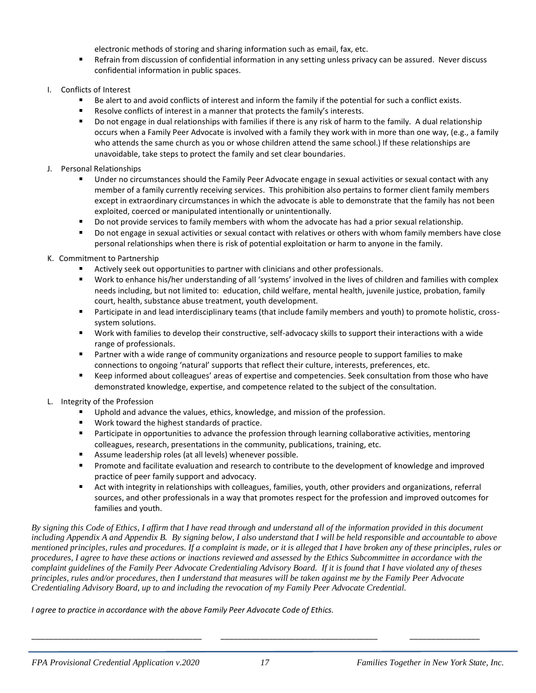electronic methods of storing and sharing information such as email, fax, etc.

- Refrain from discussion of confidential information in any setting unless privacy can be assured. Never discuss confidential information in public spaces.
- I. Conflicts of Interest
	- Be alert to and avoid conflicts of interest and inform the family if the potential for such a conflict exists.
	- Resolve conflicts of interest in a manner that protects the family's interests.
	- Do not engage in dual relationships with families if there is any risk of harm to the family. A dual relationship occurs when a Family Peer Advocate is involved with a family they work with in more than one way, (e.g., a family who attends the same church as you or whose children attend the same school.) If these relationships are unavoidable, take steps to protect the family and set clear boundaries.
- J. Personal Relationships
	- Under no circumstances should the Family Peer Advocate engage in sexual activities or sexual contact with any member of a family currently receiving services. This prohibition also pertains to former client family members except in extraordinary circumstances in which the advocate is able to demonstrate that the family has not been exploited, coerced or manipulated intentionally or unintentionally.
	- Do not provide services to family members with whom the advocate has had a prior sexual relationship.
	- Do not engage in sexual activities or sexual contact with relatives or others with whom family members have close personal relationships when there is risk of potential exploitation or harm to anyone in the family.
- K. Commitment to Partnership
	- Actively seek out opportunities to partner with clinicians and other professionals.
	- Work to enhance his/her understanding of all 'systems' involved in the lives of children and families with complex needs including, but not limited to: education, child welfare, mental health, juvenile justice, probation, family court, health, substance abuse treatment, youth development.
	- Participate in and lead interdisciplinary teams (that include family members and youth) to promote holistic, crosssystem solutions.
	- Work with families to develop their constructive, self-advocacy skills to support their interactions with a wide range of professionals.
	- **Partner with a wide range of community organizations and resource people to support families to make** connections to ongoing 'natural' supports that reflect their culture, interests, preferences, etc.
	- Keep informed about colleagues' areas of expertise and competencies. Seek consultation from those who have demonstrated knowledge, expertise, and competence related to the subject of the consultation.
- L. Integrity of the Profession
	- Uphold and advance the values, ethics, knowledge, and mission of the profession.
	- Work toward the highest standards of practice.
	- **Participate in opportunities to advance the profession through learning collaborative activities, mentoring** colleagues, research, presentations in the community, publications, training, etc.
	- Assume leadership roles (at all levels) whenever possible.
	- **Promote and facilitate evaluation and research to contribute to the development of knowledge and improved** practice of peer family support and advocacy.
	- Act with integrity in relationships with colleagues, families, youth, other providers and organizations, referral sources, and other professionals in a way that promotes respect for the profession and improved outcomes for families and youth.

*By signing this Code of Ethics, I affirm that I have read through and understand all of the information provided in this document including Appendix A and Appendix B. By signing below, I also understand that I will be held responsible and accountable to above mentioned principles, rules and procedures. If a complaint is made, or it is alleged that I have broken any of these principles, rules or procedures, I agree to have these actions or inactions reviewed and assessed by the Ethics Subcommittee in accordance with the complaint guidelines of the Family Peer Advocate Credentialing Advisory Board. If it is found that I have violated any of theses principles, rules and/or procedures, then I understand that measures will be taken against me by the Family Peer Advocate Credentialing Advisory Board, up to and including the revocation of my Family Peer Advocate Credential.*

*I agree to practice in accordance with the above Family Peer Advocate Code of Ethics.*

\_\_\_\_\_\_\_\_\_\_\_\_\_\_\_\_\_\_\_\_\_\_\_\_\_\_\_\_\_\_\_\_\_\_\_\_\_\_\_ \_\_\_\_\_\_\_\_\_\_\_\_\_\_\_\_\_\_\_\_\_\_\_\_\_\_\_\_\_\_\_\_\_\_\_\_ \_\_\_\_\_\_\_\_\_\_\_\_\_\_\_\_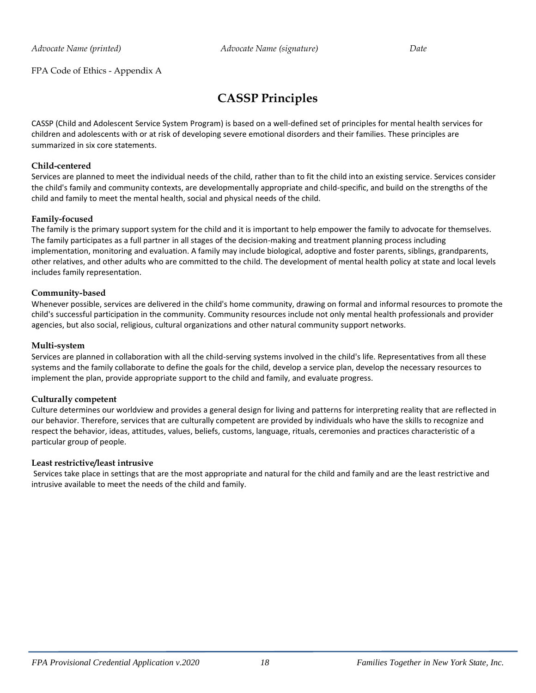#### FPA Code of Ethics - Appendix A

## **CASSP Principles**

CASSP (Child and Adolescent Service System Program) is based on a well-defined set of principles for mental health services for children and adolescents with or at risk of developing severe emotional disorders and their families. These principles are summarized in six core statements.

#### **Child-centered**

Services are planned to meet the individual needs of the child, rather than to fit the child into an existing service. Services consider the child's family and community contexts, are developmentally appropriate and child-specific, and build on the strengths of the child and family to meet the mental health, social and physical needs of the child.

#### **Family-focused**

The family is the primary support system for the child and it is important to help empower the family to advocate for themselves. The family participates as a full partner in all stages of the decision-making and treatment planning process including implementation, monitoring and evaluation. A family may include biological, adoptive and foster parents, siblings, grandparents, other relatives, and other adults who are committed to the child. The development of mental health policy at state and local levels includes family representation.

#### **Community-based**

Whenever possible, services are delivered in the child's home community, drawing on formal and informal resources to promote the child's successful participation in the community. Community resources include not only mental health professionals and provider agencies, but also social, religious, cultural organizations and other natural community support networks.

#### **Multi-system**

Services are planned in collaboration with all the child-serving systems involved in the child's life. Representatives from all these systems and the family collaborate to define the goals for the child, develop a service plan, develop the necessary resources to implement the plan, provide appropriate support to the child and family, and evaluate progress.

#### **Culturally competent**

Culture determines our worldview and provides a general design for living and patterns for interpreting reality that are reflected in our behavior. Therefore, services that are culturally competent are provided by individuals who have the skills to recognize and respect the behavior, ideas, attitudes, values, beliefs, customs, language, rituals, ceremonies and practices characteristic of a particular group of people.

#### **Least restrictive/least intrusive**

Services take place in settings that are the most appropriate and natural for the child and family and are the least restrictive and intrusive available to meet the needs of the child and family.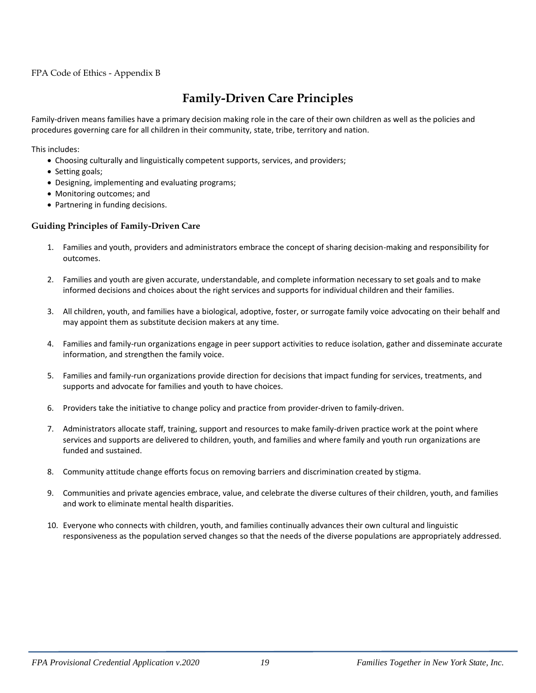#### FPA Code of Ethics - Appendix B

## **Family-Driven Care Principles**

Family-driven means families have a primary decision making role in the care of their own children as well as the policies and procedures governing care for all children in their community, state, tribe, territory and nation.

This includes:

- Choosing culturally and linguistically competent supports, services, and providers;
- Setting goals;
- Designing, implementing and evaluating programs;
- Monitoring outcomes; and
- Partnering in funding decisions.

#### **Guiding Principles of Family-Driven Care**

- 1. Families and youth, providers and administrators embrace the concept of sharing decision-making and responsibility for outcomes.
- 2. Families and youth are given accurate, understandable, and complete information necessary to set goals and to make informed decisions and choices about the right services and supports for individual children and their families.
- 3. All children, youth, and families have a biological, adoptive, foster, or surrogate family voice advocating on their behalf and may appoint them as substitute decision makers at any time.
- 4. Families and family-run organizations engage in peer support activities to reduce isolation, gather and disseminate accurate information, and strengthen the family voice.
- 5. Families and family-run organizations provide direction for decisions that impact funding for services, treatments, and supports and advocate for families and youth to have choices.
- 6. Providers take the initiative to change policy and practice from provider-driven to family-driven.
- 7. Administrators allocate staff, training, support and resources to make family-driven practice work at the point where services and supports are delivered to children, youth, and families and where family and youth run organizations are funded and sustained.
- 8. Community attitude change efforts focus on removing barriers and discrimination created by stigma.
- 9. Communities and private agencies embrace, value, and celebrate the diverse cultures of their children, youth, and families and work to eliminate mental health disparities.
- 10. Everyone who connects with children, youth, and families continually advances their own cultural and linguistic responsiveness as the population served changes so that the needs of the diverse populations are appropriately addressed.